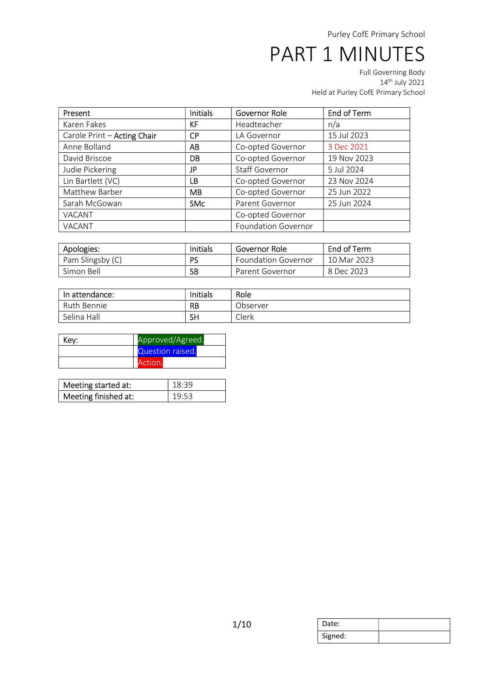| Present                     | <b>Initials</b> | Governor Role              | End of Term |
|-----------------------------|-----------------|----------------------------|-------------|
| Karen Fakes                 | <b>KF</b>       | Headteacher                | n/a         |
| Carole Print - Acting Chair | <b>CP</b>       | LA Governor                | 15 Jul 2023 |
| Anne Bolland                | AB              | Co-opted Governor          | 3 Dec 2021  |
| David Briscoe               | DB              | Co-opted Governor          | 19 Nov 2023 |
| Judie Pickering             | JP              | <b>Staff Governor</b>      | 5 Jul 2024  |
| Lin Bartlett (VC)           | LB              | Co-opted Governor          | 23 Nov 2024 |
| Matthew Barber              | <b>MB</b>       | Co-opted Governor          | 25 Jun 2022 |
| Sarah McGowan               | <b>SMc</b>      | Parent Governor            | 25 Jun 2024 |
| VACANT                      |                 | Co-opted Governor          |             |
| VACANT                      |                 | <b>Foundation Governor</b> |             |

| Apologies:       | Initials | Governor Role              | End of Term |  |
|------------------|----------|----------------------------|-------------|--|
| Pam Slingsby (C) | PS       | <b>Foundation Governor</b> | 10 Mar 2023 |  |
| Simon Bell       | SB       | Parent Governor            | 8 Dec 2023  |  |

| In attendance: | Initials  | Role     |
|----------------|-----------|----------|
| Ruth Bennie    | <b>RB</b> | Observer |
| Selina Hall    | SH        | Clerk    |

| Key: | Approved/Agreed. |  |
|------|------------------|--|
|      | Question raised. |  |
|      | Action.          |  |

| Meeting started at:  | $18:39$ |
|----------------------|---------|
| Meeting finished at: | 19:53   |

| Date:   |  |
|---------|--|
| Signed: |  |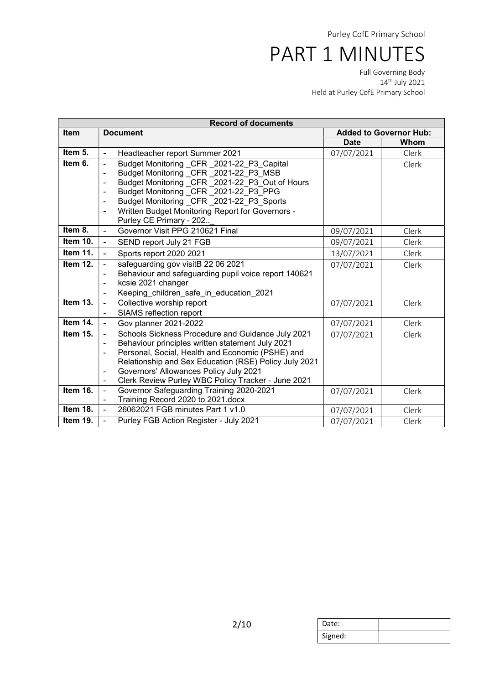| <b>Record of documents</b> |                                                                      |             |                               |  |
|----------------------------|----------------------------------------------------------------------|-------------|-------------------------------|--|
| <b>Item</b>                | <b>Document</b>                                                      |             | <b>Added to Governor Hub:</b> |  |
|                            |                                                                      | <b>Date</b> | Whom                          |  |
| Item 5.                    | Headteacher report Summer 2021<br>$\blacksquare$                     | 07/07/2021  | Clerk                         |  |
| Item 6.                    | Budget Monitoring CFR 2021-22 P3 Capital<br>$\overline{\phantom{0}}$ |             | Clerk                         |  |
|                            | Budget Monitoring CFR 2021-22 P3 MSB<br>٠                            |             |                               |  |
|                            | Budget Monitoring CFR 2021-22 P3 Out of Hours<br>$\blacksquare$      |             |                               |  |
|                            | Budget Monitoring CFR 2021-22 P3 PPG                                 |             |                               |  |
|                            | Budget Monitoring CFR 2021-22 P3 Sports<br>۰                         |             |                               |  |
|                            | Written Budget Monitoring Report for Governors -<br>$\blacksquare$   |             |                               |  |
|                            | Purley CE Primary - 202                                              |             |                               |  |
| Item 8.                    | Governor Visit PPG 210621 Final<br>$\overline{\phantom{0}}$          | 09/07/2021  | Clerk                         |  |
| Item $10.$                 | SEND report July 21 FGB<br>$\overline{a}$                            | 09/07/2021  | Clerk                         |  |
| Item 11.                   | Sports report 2020 2021<br>$\overline{a}$                            | 13/07/2021  | Clerk                         |  |
| Item 12.                   | safeguarding gov visitB 22 06 2021<br>$\blacksquare$                 | 07/07/2021  | Clerk                         |  |
|                            | Behaviour and safeguarding pupil voice report 140621<br>۰            |             |                               |  |
|                            | kcsie 2021 changer<br>$\blacksquare$                                 |             |                               |  |
|                            | Keeping children safe in education 2021<br>$\overline{\phantom{a}}$  |             |                               |  |
| Item $13.$                 | Collective worship report<br>$\qquad \qquad \blacksquare$            | 07/07/2021  | Clerk                         |  |
|                            | SIAMS reflection report<br>$\overline{a}$                            |             |                               |  |
| Item 14.                   | Gov planner 2021-2022<br>$\blacksquare$                              | 07/07/2021  | Clerk                         |  |
| Item 15.                   | Schools Sickness Procedure and Guidance July 2021<br>$\blacksquare$  | 07/07/2021  | Clerk                         |  |
|                            | Behaviour principles written statement July 2021<br>$\blacksquare$   |             |                               |  |
|                            | Personal, Social, Health and Economic (PSHE) and<br>$\blacksquare$   |             |                               |  |
|                            | Relationship and Sex Education (RSE) Policy July 2021                |             |                               |  |
|                            | Governors' Allowances Policy July 2021<br>÷                          |             |                               |  |
|                            | Clerk Review Purley WBC Policy Tracker - June 2021<br>$\blacksquare$ |             |                               |  |
| Item 16.                   | Governor Safeguarding Training 2020-2021<br>÷,                       | 07/07/2021  | Clerk                         |  |
|                            | Training Record 2020 to 2021.docx<br>$\overline{\phantom{a}}$        |             |                               |  |
| Item 18.                   | 26062021 FGB minutes Part 1 v1.0<br>$\overline{a}$                   | 07/07/2021  | Clerk                         |  |
| Item 19.                   | Purley FGB Action Register - July 2021                               | 07/07/2021  | Clerk                         |  |

| Date:   |  |
|---------|--|
| Signed: |  |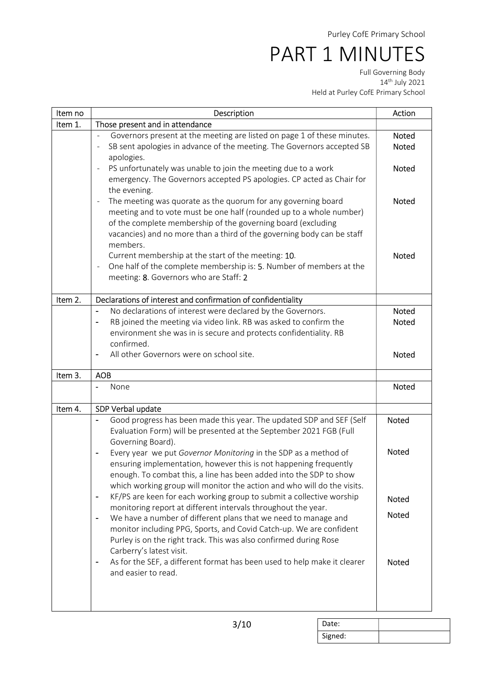Full Governing Body 14th July 2021 Held at Purley CofE Primary School

| Item no | Description                                                                                                                                                                                                                                                                                | Action                       |
|---------|--------------------------------------------------------------------------------------------------------------------------------------------------------------------------------------------------------------------------------------------------------------------------------------------|------------------------------|
| Item 1. | Those present and in attendance                                                                                                                                                                                                                                                            |                              |
|         | Governors present at the meeting are listed on page 1 of these minutes.<br>$\overline{\phantom{a}}$<br>SB sent apologies in advance of the meeting. The Governors accepted SB<br>apologies.                                                                                                | <b>Noted</b><br><b>Noted</b> |
|         | PS unfortunately was unable to join the meeting due to a work<br>$\overline{\phantom{a}}$<br>emergency. The Governors accepted PS apologies. CP acted as Chair for<br>the evening.                                                                                                         | Noted                        |
|         | The meeting was quorate as the quorum for any governing board<br>meeting and to vote must be one half (rounded up to a whole number)<br>of the complete membership of the governing board (excluding<br>vacancies) and no more than a third of the governing body can be staff<br>members. | <b>Noted</b>                 |
|         | Current membership at the start of the meeting: 10.<br>One half of the complete membership is: 5. Number of members at the<br>$\overline{\phantom{a}}$<br>meeting: 8. Governors who are Staff: 2                                                                                           | Noted                        |
| Item 2. | Declarations of interest and confirmation of confidentiality                                                                                                                                                                                                                               |                              |
|         | No declarations of interest were declared by the Governors.<br>$\blacksquare$                                                                                                                                                                                                              | <b>Noted</b>                 |
|         | RB joined the meeting via video link. RB was asked to confirm the<br>environment she was in is secure and protects confidentiality. RB<br>confirmed.                                                                                                                                       | <b>Noted</b>                 |
|         | All other Governors were on school site.<br>$\overline{\phantom{a}}$                                                                                                                                                                                                                       | <b>Noted</b>                 |
| Item 3. | <b>AOB</b>                                                                                                                                                                                                                                                                                 |                              |
|         | None                                                                                                                                                                                                                                                                                       | Noted                        |
| Item 4. | SDP Verbal update                                                                                                                                                                                                                                                                          |                              |
|         | Good progress has been made this year. The updated SDP and SEF (Self<br>Evaluation Form) will be presented at the September 2021 FGB (Full<br>Governing Board).                                                                                                                            | <b>Noted</b>                 |
|         | Every year we put Governor Monitoring in the SDP as a method of<br>ensuring implementation, however this is not happening frequently<br>enough. To combat this, a line has been added into the SDP to show<br>which working group will monitor the action and who will do the visits.      | Noted                        |
|         | KF/PS are keen for each working group to submit a collective worship<br>$\blacksquare$                                                                                                                                                                                                     | Noted                        |
|         | monitoring report at different intervals throughout the year.<br>We have a number of different plans that we need to manage and                                                                                                                                                            | <b>Noted</b>                 |
|         | monitor including PPG, Sports, and Covid Catch-up. We are confident<br>Purley is on the right track. This was also confirmed during Rose<br>Carberry's latest visit.                                                                                                                       |                              |
|         | As for the SEF, a different format has been used to help make it clearer<br>and easier to read.                                                                                                                                                                                            | Noted                        |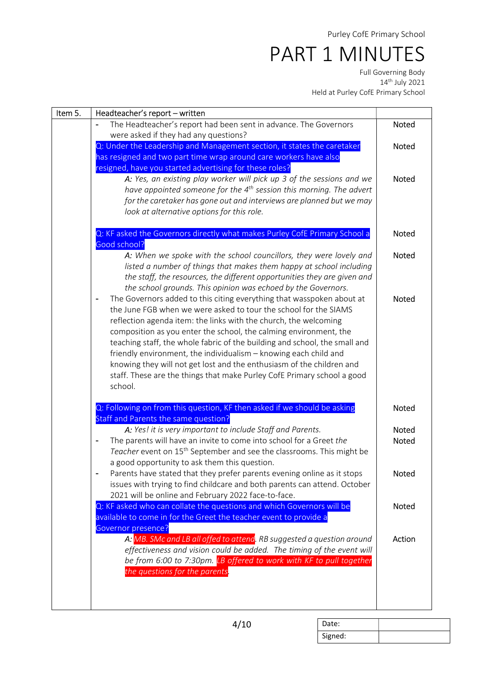| Item 5. | Headteacher's report - written                                                                                                                                                                                                                                                                                                                                                                                                                                                                                                                                                                      |                       |
|---------|-----------------------------------------------------------------------------------------------------------------------------------------------------------------------------------------------------------------------------------------------------------------------------------------------------------------------------------------------------------------------------------------------------------------------------------------------------------------------------------------------------------------------------------------------------------------------------------------------------|-----------------------|
|         | The Headteacher's report had been sent in advance. The Governors<br>were asked if they had any questions?                                                                                                                                                                                                                                                                                                                                                                                                                                                                                           | Noted                 |
|         | Q: Under the Leadership and Management section, it states the caretaker<br>has resigned and two part time wrap around care workers have also<br>resigned, have you started advertising for these roles?                                                                                                                                                                                                                                                                                                                                                                                             | Noted                 |
|         | A: Yes, an existing play worker will pick up 3 of the sessions and we<br>have appointed someone for the 4 <sup>th</sup> session this morning. The advert<br>for the caretaker has gone out and interviews are planned but we may<br>look at alternative options for this role.                                                                                                                                                                                                                                                                                                                      | Noted                 |
|         | Q: KF asked the Governors directly what makes Purley CofE Primary School a<br>Good school?                                                                                                                                                                                                                                                                                                                                                                                                                                                                                                          | <b>Noted</b>          |
|         | A: When we spoke with the school councillors, they were lovely and<br>listed a number of things that makes them happy at school including<br>the staff, the resources, the different opportunities they are given and<br>the school grounds. This opinion was echoed by the Governors.                                                                                                                                                                                                                                                                                                              | <b>Noted</b>          |
|         | The Governors added to this citing everything that wasspoken about at<br>the June FGB when we were asked to tour the school for the SIAMS<br>reflection agenda item: the links with the church, the welcoming<br>composition as you enter the school, the calming environment, the<br>teaching staff, the whole fabric of the building and school, the small and<br>friendly environment, the individualism - knowing each child and<br>knowing they will not get lost and the enthusiasm of the children and<br>staff. These are the things that make Purley CofE Primary school a good<br>school. | <b>Noted</b>          |
|         | Q: Following on from this question, KF then asked if we should be asking<br>Staff and Parents the same question?                                                                                                                                                                                                                                                                                                                                                                                                                                                                                    | Noted                 |
|         | A: Yes! it is very important to include Staff and Parents.<br>The parents will have an invite to come into school for a Greet the<br>Teacher event on 15 <sup>th</sup> September and see the classrooms. This might be<br>a good opportunity to ask them this question.                                                                                                                                                                                                                                                                                                                             | Noted<br><b>Noted</b> |
|         | Parents have stated that they prefer parents evening online as it stops<br>issues with trying to find childcare and both parents can attend. October<br>2021 will be online and February 2022 face-to-face.                                                                                                                                                                                                                                                                                                                                                                                         | Noted                 |
|         | Q: KF asked who can collate the questions and which Governors will be<br>available to come in for the Greet the teacher event to provide a<br><b>Governor presence?</b>                                                                                                                                                                                                                                                                                                                                                                                                                             | Noted                 |
|         | A: MB. SMc and LB all offed to attend. RB suggested a question around<br>effectiveness and vision could be added. The timing of the event will<br>be from 6:00 to 7:30pm. LB offered to work with KF to pull together<br>the questions for the parents.                                                                                                                                                                                                                                                                                                                                             | Action                |

| Date:   |  |
|---------|--|
| Signed: |  |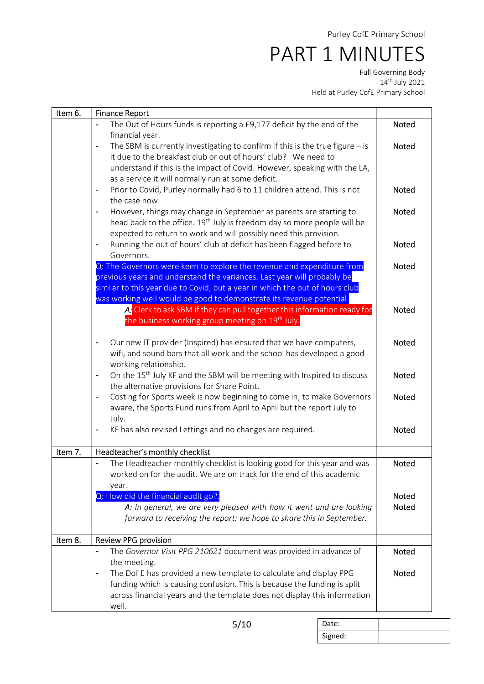Full Governing Body 14th July 2021 Held at Purley CofE Primary School

| Item 6. | <b>Finance Report</b>                                                                                |              |
|---------|------------------------------------------------------------------------------------------------------|--------------|
|         | The Out of Hours funds is reporting a £9,177 deficit by the end of the                               | Noted        |
|         | financial year.                                                                                      |              |
|         | The SBM is currently investigating to confirm if this is the true figure $-$ is                      | <b>Noted</b> |
|         | it due to the breakfast club or out of hours' club? We need to                                       |              |
|         | understand if this is the impact of Covid. However, speaking with the LA,                            |              |
|         | as a service it will normally run at some deficit.                                                   |              |
|         | Prior to Covid, Purley normally had 6 to 11 children attend. This is not<br>$\overline{\phantom{a}}$ | <b>Noted</b> |
|         | the case now                                                                                         |              |
|         | However, things may change in September as parents are starting to<br>$\blacksquare$                 | <b>Noted</b> |
|         | head back to the office. 19 <sup>th</sup> July is freedom day so more people will be                 |              |
|         | expected to return to work and will possibly need this provision.                                    |              |
|         | Running the out of hours' club at deficit has been flagged before to<br>$\blacksquare$               | <b>Noted</b> |
|         | Governors.                                                                                           |              |
|         | Q: The Governors were keen to explore the revenue and expenditure from                               | <b>Noted</b> |
|         | previous years and understand the variances. Last year will probably be                              |              |
|         | similar to this year due to Covid, but a year in which the out of hours club                         |              |
|         | was working well would be good to demonstrate its revenue potential.                                 |              |
|         | A: Clerk to ask SBM if they can pull together this information ready for                             | Noted        |
|         | the business working group meeting on 19 <sup>th</sup> July.                                         |              |
|         |                                                                                                      |              |
|         | Our new IT provider (Inspired) has ensured that we have computers,<br>$\overline{\phantom{a}}$       | <b>Noted</b> |
|         | wifi, and sound bars that all work and the school has developed a good<br>working relationship.      |              |
|         | On the 15 <sup>th</sup> July KF and the SBM will be meeting with Inspired to discuss                 | <b>Noted</b> |
|         | $\overline{a}$<br>the alternative provisions for Share Point.                                        |              |
|         | Costing for Sports week is now beginning to come in; to make Governors<br>$\blacksquare$             | <b>Noted</b> |
|         | aware, the Sports Fund runs from April to April but the report July to                               |              |
|         | July.                                                                                                |              |
|         | KF has also revised Lettings and no changes are required.<br>$\overline{\phantom{a}}$                | Noted        |
|         |                                                                                                      |              |
| Item 7. | Headteacher's monthly checklist                                                                      |              |
|         | The Headteacher monthly checklist is looking good for this year and was                              | Noted        |
|         | worked on for the audit. We are on track for the end of this academic                                |              |
|         | year.                                                                                                |              |
|         | Q: How did the financial audit go?.                                                                  | Noted        |
|         | A: In general, we are very pleased with how it went and are looking                                  | Noted        |
|         | forward to receiving the report; we hope to share this in September.                                 |              |
|         |                                                                                                      |              |
| Item 8. | Review PPG provision                                                                                 |              |
|         | The Governor Visit PPG 210621 document was provided in advance of                                    | Noted        |
|         | the meeting.                                                                                         |              |
|         | The Dof E has provided a new template to calculate and display PPG                                   | Noted        |
|         | funding which is causing confusion. This is because the funding is split                             |              |
|         | across financial years and the template does not display this information                            |              |
|         | well.                                                                                                |              |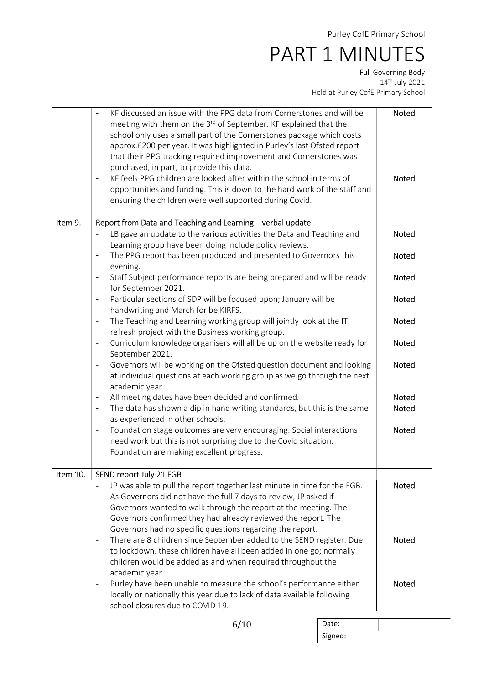Full Governing Body 14th July 2021 Held at Purley CofE Primary School

|          | KF discussed an issue with the PPG data from Cornerstones and will be                                                                                                   | <b>Noted</b> |
|----------|-------------------------------------------------------------------------------------------------------------------------------------------------------------------------|--------------|
|          | meeting with them on the 3 <sup>rd</sup> of September. KF explained that the<br>school only uses a small part of the Cornerstones package which costs                   |              |
|          | approx.£200 per year. It was highlighted in Purley's last Ofsted report                                                                                                 |              |
|          | that their PPG tracking required improvement and Cornerstones was                                                                                                       |              |
|          | purchased, in part, to provide this data.                                                                                                                               |              |
|          | KF feels PPG children are looked after within the school in terms of<br>$\qquad \qquad \blacksquare$                                                                    | <b>Noted</b> |
|          | opportunities and funding. This is down to the hard work of the staff and                                                                                               |              |
|          | ensuring the children were well supported during Covid.                                                                                                                 |              |
|          |                                                                                                                                                                         |              |
| Item 9.  | Report from Data and Teaching and Learning - verbal update                                                                                                              |              |
|          | LB gave an update to the various activities the Data and Teaching and                                                                                                   | Noted        |
|          | Learning group have been doing include policy reviews.                                                                                                                  |              |
|          | The PPG report has been produced and presented to Governors this                                                                                                        | Noted        |
|          | evening.                                                                                                                                                                |              |
|          | Staff Subject performance reports are being prepared and will be ready<br>for September 2021.                                                                           | Noted        |
|          | Particular sections of SDP will be focused upon; January will be<br>handwriting and March for be KIRFS.                                                                 | <b>Noted</b> |
|          | The Teaching and Learning working group will jointly look at the IT<br>$\qquad \qquad \blacksquare$                                                                     | <b>Noted</b> |
|          | refresh project with the Business working group.                                                                                                                        |              |
|          | Curriculum knowledge organisers will all be up on the website ready for<br>September 2021.                                                                              | Noted        |
|          | Governors will be working on the Ofsted question document and looking<br>٠<br>at individual questions at each working group as we go through the next<br>academic year. | <b>Noted</b> |
|          | All meeting dates have been decided and confirmed.<br>۰                                                                                                                 | Noted        |
|          | The data has shown a dip in hand writing standards, but this is the same<br>$\blacksquare$                                                                              | Noted        |
|          | as experienced in other schools.                                                                                                                                        |              |
|          | Foundation stage outcomes are very encouraging. Social interactions                                                                                                     | Noted        |
|          | need work but this is not surprising due to the Covid situation.                                                                                                        |              |
|          | Foundation are making excellent progress.                                                                                                                               |              |
|          |                                                                                                                                                                         |              |
| Item 10. | SEND report July 21 FGB                                                                                                                                                 |              |
|          | JP was able to pull the report together last minute in time for the FGB.                                                                                                | Noted        |
|          | As Governors did not have the full 7 days to review, JP asked if                                                                                                        |              |
|          | Governors wanted to walk through the report at the meeting. The                                                                                                         |              |
|          | Governors confirmed they had already reviewed the report. The                                                                                                           |              |
|          | Governors had no specific questions regarding the report.                                                                                                               |              |
|          | There are 8 children since September added to the SEND register. Due<br>$\blacksquare$                                                                                  | <b>Noted</b> |
|          | to lockdown, these children have all been added in one go; normally                                                                                                     |              |
|          | children would be added as and when required throughout the                                                                                                             |              |
|          | academic year.                                                                                                                                                          |              |
|          | Purley have been unable to measure the school's performance either<br>$\overline{\phantom{a}}$                                                                          | Noted        |
|          | locally or nationally this year due to lack of data available following                                                                                                 |              |
|          | school closures due to COVID 19.                                                                                                                                        |              |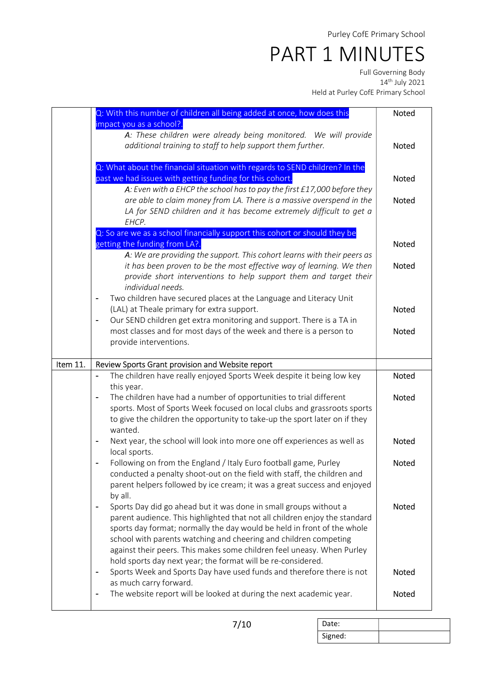Full Governing Body 14th July 2021 Held at Purley CofE Primary School

|          | Q: With this number of children all being added at once, how does this                                                                                | <b>Noted</b> |
|----------|-------------------------------------------------------------------------------------------------------------------------------------------------------|--------------|
|          | impact you as a school?.<br>A: These children were already being monitored. We will provide                                                           |              |
|          | additional training to staff to help support them further.                                                                                            | <b>Noted</b> |
|          |                                                                                                                                                       |              |
|          | Q: What about the financial situation with regards to SEND children? In the                                                                           |              |
|          | past we had issues with getting funding for this cohort.                                                                                              | <b>Noted</b> |
|          | A: Even with a EHCP the school has to pay the first £17,000 before they                                                                               |              |
|          | are able to claim money from LA. There is a massive overspend in the<br>LA for SEND children and it has become extremely difficult to get a           | <b>Noted</b> |
|          | EHCP.                                                                                                                                                 |              |
|          | Q: So are we as a school financially support this cohort or should they be                                                                            |              |
|          | getting the funding from LA?.                                                                                                                         | Noted        |
|          | A: We are providing the support. This cohort learns with their peers as                                                                               |              |
|          | it has been proven to be the most effective way of learning. We then                                                                                  | Noted        |
|          | provide short interventions to help support them and target their                                                                                     |              |
|          | individual needs.                                                                                                                                     |              |
|          | Two children have secured places at the Language and Literacy Unit<br>(LAL) at Theale primary for extra support.                                      | <b>Noted</b> |
|          | Our SEND children get extra monitoring and support. There is a TA in<br>$\overline{\phantom{a}}$                                                      |              |
|          | most classes and for most days of the week and there is a person to                                                                                   | <b>Noted</b> |
|          | provide interventions.                                                                                                                                |              |
|          |                                                                                                                                                       |              |
|          |                                                                                                                                                       |              |
| Item 11. | Review Sports Grant provision and Website report                                                                                                      |              |
|          | The children have really enjoyed Sports Week despite it being low key                                                                                 | <b>Noted</b> |
|          | this year.                                                                                                                                            |              |
|          | The children have had a number of opportunities to trial different<br>$\overline{\phantom{a}}$                                                        | <b>Noted</b> |
|          | sports. Most of Sports Week focused on local clubs and grassroots sports                                                                              |              |
|          | to give the children the opportunity to take-up the sport later on if they<br>wanted.                                                                 |              |
|          | Next year, the school will look into more one off experiences as well as                                                                              | <b>Noted</b> |
|          | local sports.                                                                                                                                         |              |
|          | Following on from the England / Italy Euro football game, Purley                                                                                      | Noted        |
|          | conducted a penalty shoot-out on the field with staff, the children and                                                                               |              |
|          | parent helpers followed by ice cream; it was a great success and enjoyed                                                                              |              |
|          | by all.                                                                                                                                               |              |
|          | Sports Day did go ahead but it was done in small groups without a<br>$\blacksquare$                                                                   | <b>Noted</b> |
|          | parent audience. This highlighted that not all children enjoy the standard<br>sports day format; normally the day would be held in front of the whole |              |
|          | school with parents watching and cheering and children competing                                                                                      |              |
|          | against their peers. This makes some children feel uneasy. When Purley                                                                                |              |
|          | hold sports day next year; the format will be re-considered.                                                                                          |              |
|          | Sports Week and Sports Day have used funds and therefore there is not<br>$\blacksquare$                                                               | Noted        |
|          | as much carry forward.<br>The website report will be looked at during the next academic year.<br>$\blacksquare$                                       | Noted        |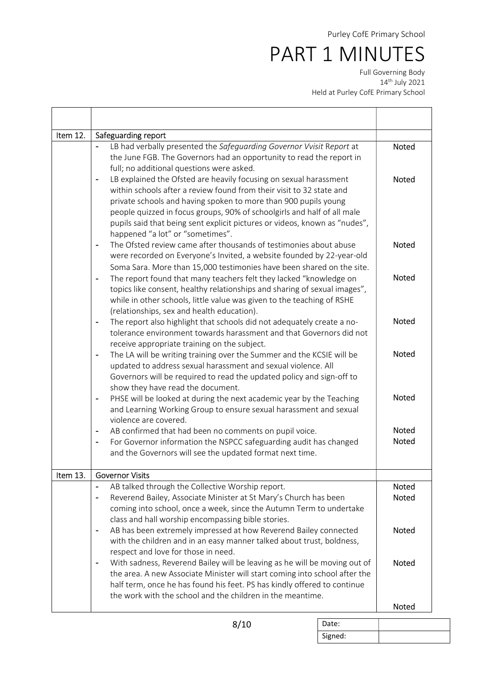Full Governing Body 14th July 2021 Held at Purley CofE Primary School

| Item 12. | Safeguarding report                                                                                                                                                                                                                                                                                                                                                                                       |                              |
|----------|-----------------------------------------------------------------------------------------------------------------------------------------------------------------------------------------------------------------------------------------------------------------------------------------------------------------------------------------------------------------------------------------------------------|------------------------------|
|          | LB had verbally presented the Safeguarding Governor Vvisit Report at<br>the June FGB. The Governors had an opportunity to read the report in<br>full; no additional questions were asked.                                                                                                                                                                                                                 | <b>Noted</b>                 |
|          | LB explained the Ofsted are heavily focusing on sexual harassment<br>within schools after a review found from their visit to 32 state and<br>private schools and having spoken to more than 900 pupils young<br>people quizzed in focus groups, 90% of schoolgirls and half of all male<br>pupils said that being sent explicit pictures or videos, known as "nudes",<br>happened "a lot" or "sometimes". | <b>Noted</b>                 |
|          | The Ofsted review came after thousands of testimonies about abuse<br>$\blacksquare$<br>were recorded on Everyone's Invited, a website founded by 22-year-old<br>Soma Sara. More than 15,000 testimonies have been shared on the site.                                                                                                                                                                     | <b>Noted</b>                 |
|          | The report found that many teachers felt they lacked "knowledge on<br>$\blacksquare$<br>topics like consent, healthy relationships and sharing of sexual images",<br>while in other schools, little value was given to the teaching of RSHE<br>(relationships, sex and health education).                                                                                                                 | <b>Noted</b>                 |
|          | The report also highlight that schools did not adequately create a no-<br>$\blacksquare$<br>tolerance environment towards harassment and that Governors did not<br>receive appropriate training on the subject.                                                                                                                                                                                           | <b>Noted</b>                 |
|          | The LA will be writing training over the Summer and the KCSIE will be<br>updated to address sexual harassment and sexual violence. All<br>Governors will be required to read the updated policy and sign-off to<br>show they have read the document.                                                                                                                                                      | <b>Noted</b>                 |
|          | PHSE will be looked at during the next academic year by the Teaching<br>and Learning Working Group to ensure sexual harassment and sexual<br>violence are covered.                                                                                                                                                                                                                                        | <b>Noted</b>                 |
|          | AB confirmed that had been no comments on pupil voice.<br>۰<br>For Governor information the NSPCC safeguarding audit has changed<br>۰<br>and the Governors will see the updated format next time.                                                                                                                                                                                                         | <b>Noted</b><br><b>Noted</b> |
| Item 13. | <b>Governor Visits</b>                                                                                                                                                                                                                                                                                                                                                                                    |                              |
|          | AB talked through the Collective Worship report.<br>Reverend Bailey, Associate Minister at St Mary's Church has been<br>coming into school, once a week, since the Autumn Term to undertake<br>class and hall worship encompassing bible stories.                                                                                                                                                         | Noted<br>Noted               |
|          | AB has been extremely impressed at how Reverend Bailey connected<br>-<br>with the children and in an easy manner talked about trust, boldness,<br>respect and love for those in need.                                                                                                                                                                                                                     | Noted                        |
|          | With sadness, Reverend Bailey will be leaving as he will be moving out of<br>$\blacksquare$<br>the area. A new Associate Minister will start coming into school after the<br>half term, once he has found his feet. PS has kindly offered to continue<br>the work with the school and the children in the meantime.                                                                                       | <b>Noted</b>                 |
|          |                                                                                                                                                                                                                                                                                                                                                                                                           | Noted                        |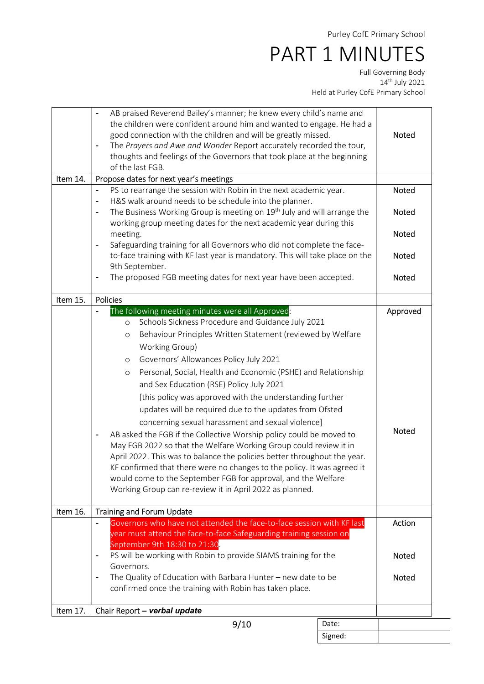|          | Signed:                                                                                                                                                                                                                                                                                                                                                                                                                                                                                                                                                                                                                                                                                                                                                                                                                                                                                                                                                             |                       |
|----------|---------------------------------------------------------------------------------------------------------------------------------------------------------------------------------------------------------------------------------------------------------------------------------------------------------------------------------------------------------------------------------------------------------------------------------------------------------------------------------------------------------------------------------------------------------------------------------------------------------------------------------------------------------------------------------------------------------------------------------------------------------------------------------------------------------------------------------------------------------------------------------------------------------------------------------------------------------------------|-----------------------|
|          | 9/10<br>Date:                                                                                                                                                                                                                                                                                                                                                                                                                                                                                                                                                                                                                                                                                                                                                                                                                                                                                                                                                       |                       |
| Item 17. | Chair Report - verbal update                                                                                                                                                                                                                                                                                                                                                                                                                                                                                                                                                                                                                                                                                                                                                                                                                                                                                                                                        |                       |
|          | The Quality of Education with Barbara Hunter - new date to be<br>confirmed once the training with Robin has taken place.                                                                                                                                                                                                                                                                                                                                                                                                                                                                                                                                                                                                                                                                                                                                                                                                                                            |                       |
|          | September 9th 18:30 to 21:30<br>PS will be working with Robin to provide SIAMS training for the<br>$\overline{\phantom{0}}$<br>Governors.                                                                                                                                                                                                                                                                                                                                                                                                                                                                                                                                                                                                                                                                                                                                                                                                                           |                       |
|          | $\overline{a}$<br>year must attend the face-to-face Safeguarding training session on                                                                                                                                                                                                                                                                                                                                                                                                                                                                                                                                                                                                                                                                                                                                                                                                                                                                                |                       |
| Item 16. | Training and Forum Update<br>Governors who have not attended the face-to-face session with KF last                                                                                                                                                                                                                                                                                                                                                                                                                                                                                                                                                                                                                                                                                                                                                                                                                                                                  | Action                |
|          | Schools Sickness Procedure and Guidance July 2021<br>$\circ$<br>Behaviour Principles Written Statement (reviewed by Welfare<br>$\circ$<br>Working Group)<br>Governors' Allowances Policy July 2021<br>$\circ$<br>Personal, Social, Health and Economic (PSHE) and Relationship<br>$\circ$<br>and Sex Education (RSE) Policy July 2021<br>[this policy was approved with the understanding further<br>updates will be required due to the updates from Ofsted<br>concerning sexual harassment and sexual violence]<br>AB asked the FGB if the Collective Worship policy could be moved to<br>$\blacksquare$<br>May FGB 2022 so that the Welfare Working Group could review it in<br>April 2022. This was to balance the policies better throughout the year.<br>KF confirmed that there were no changes to the policy. It was agreed it<br>would come to the September FGB for approval, and the Welfare<br>Working Group can re-review it in April 2022 as planned. | <b>Noted</b>          |
| Item 15. | <b>Policies</b><br>The following meeting minutes were all Approved:                                                                                                                                                                                                                                                                                                                                                                                                                                                                                                                                                                                                                                                                                                                                                                                                                                                                                                 | Approved              |
|          | to-face training with KF last year is mandatory. This will take place on the<br>9th September.<br>The proposed FGB meeting dates for next year have been accepted.<br>$\overline{\phantom{a}}$                                                                                                                                                                                                                                                                                                                                                                                                                                                                                                                                                                                                                                                                                                                                                                      | Noted<br>Noted        |
|          | H&S walk around needs to be schedule into the planner.<br>$\blacksquare$<br>The Business Working Group is meeting on 19 <sup>th</sup> July and will arrange the<br>working group meeting dates for the next academic year during this<br>meeting.<br>Safeguarding training for all Governors who did not complete the face-<br>$\blacksquare$                                                                                                                                                                                                                                                                                                                                                                                                                                                                                                                                                                                                                       | Noted<br><b>Noted</b> |
| Item 14. | Propose dates for next year's meetings<br>PS to rearrange the session with Robin in the next academic year.                                                                                                                                                                                                                                                                                                                                                                                                                                                                                                                                                                                                                                                                                                                                                                                                                                                         | Noted                 |
|          | the children were confident around him and wanted to engage. He had a<br>good connection with the children and will be greatly missed.<br>The Prayers and Awe and Wonder Report accurately recorded the tour,<br>$\blacksquare$<br>thoughts and feelings of the Governors that took place at the beginning<br>of the last FGB.                                                                                                                                                                                                                                                                                                                                                                                                                                                                                                                                                                                                                                      | Noted                 |
|          | AB praised Reverend Bailey's manner; he knew every child's name and<br>$\overline{a}$                                                                                                                                                                                                                                                                                                                                                                                                                                                                                                                                                                                                                                                                                                                                                                                                                                                                               |                       |